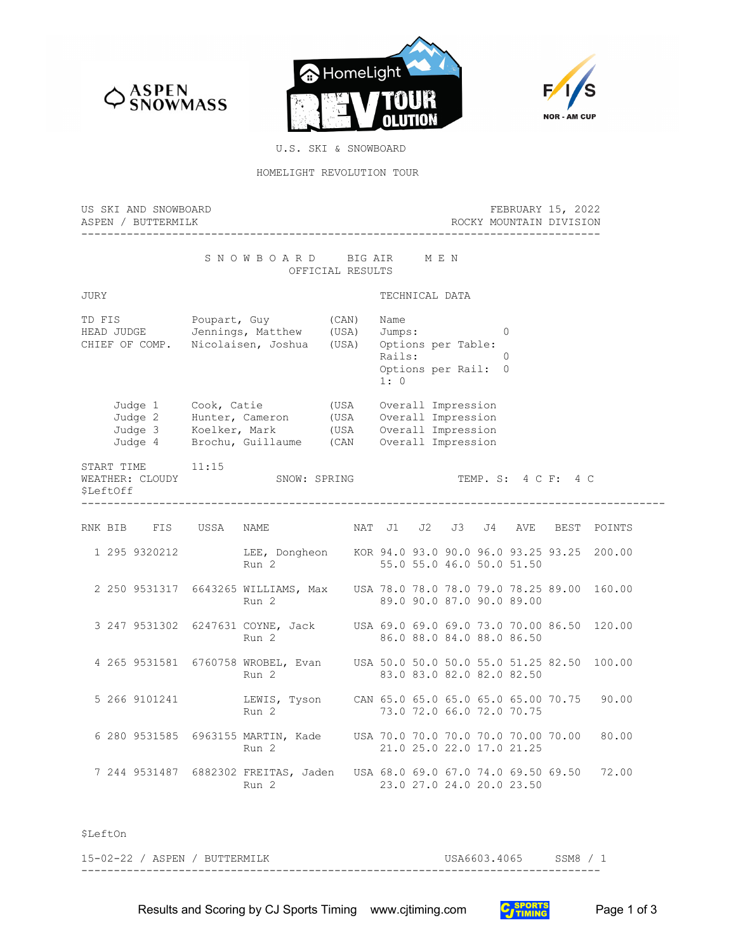





U.S. SKI & SNOWBOARD

## HOMELIGHT REVOLUTION TOUR

| US SKI AND SNOWBOARD<br>ASPEN / BUTTERMILK |                                                                                                                                                                                                      | FEBRUARY 15, 2022<br>ROCKY MOUNTAIN DIVISION |                                                                                                                |  |  |  |  |  |
|--------------------------------------------|------------------------------------------------------------------------------------------------------------------------------------------------------------------------------------------------------|----------------------------------------------|----------------------------------------------------------------------------------------------------------------|--|--|--|--|--|
|                                            | SNOWBOARD BIGAIR                                                                                                                                                                                     | OFFICIAL RESULTS                             | M E N                                                                                                          |  |  |  |  |  |
| JURY                                       |                                                                                                                                                                                                      |                                              | TECHNICAL DATA                                                                                                 |  |  |  |  |  |
|                                            | TD FIS Poupart, Guy (CAN)<br>HEAD JUDGE Jennings, Matthew (USA)<br>CHIEF OF COMP. Nicolaisen, Joshua (USA)                                                                                           |                                              | Name<br>Jumps:<br>$\Omega$<br>Options per Table:<br>Rails:<br>$\Omega$<br>Options per Rail: 0<br>1:0           |  |  |  |  |  |
|                                            | Judge 1 Cook, Catie (USA Overall Impression<br>Judge 2 Hunter, Cameron (USA Overall Impression<br>Judge 3 Koelker, Mark (USA Overall Impression<br>Judge 4 Brochu, Guillaume (CAN Overall Impression |                                              |                                                                                                                |  |  |  |  |  |
| START TIME<br>WEATHER: CLOUDY<br>\$LeftOff | 11:15<br>SNOW: SPRING                                                                                                                                                                                |                                              | TEMP. S: 4 C F: 4 C                                                                                            |  |  |  |  |  |
|                                            | RNK BIB FIS USSA NAME                                                                                                                                                                                |                                              | NAT J1 J2 J3 J4<br>AVE BEST POINTS                                                                             |  |  |  |  |  |
| 1 295 9320212                              | Run 2                                                                                                                                                                                                |                                              | LEE, Dongheon KOR 94.0 93.0 90.0 96.0 93.25 93.25 200.00<br>55.0 55.0 46.0 50.0 51.50                          |  |  |  |  |  |
|                                            | Run 2                                                                                                                                                                                                |                                              | 2 250 9531317 6643265 WILLIAMS, Max USA 78.0 78.0 78.0 79.0 78.25 89.00 160.00<br>89.0 90.0 87.0 90.0 89.00    |  |  |  |  |  |
|                                            | Run 2                                                                                                                                                                                                |                                              | 3 247 9531302 6247631 COYNE, Jack USA 69.0 69.0 69.0 73.0 70.00 86.50 120.00<br>86.0 88.0 84.0 88.0 86.50      |  |  |  |  |  |
|                                            | Run 2                                                                                                                                                                                                |                                              | 4 265 9531581 6760758 WROBEL, Evan USA 50.0 50.0 50.0 55.0 51.25 82.50 100.00<br>83.0 83.0 82.0 82.0 82.50     |  |  |  |  |  |
| 5 266 9101241                              | Run 2                                                                                                                                                                                                |                                              | LEWIS, Tyson CAN 65.0 65.0 65.0 65.0 65.00 70.75<br>90.00<br>73.0 72.0 66.0 72.0 70.75                         |  |  |  |  |  |
|                                            | Run 2                                                                                                                                                                                                |                                              | 6 280 9531585 6963155 MARTIN, Kade USA 70.0 70.0 70.0 70.0 70.00 70.00<br>80.00<br>21.0 25.0 22.0 17.0 21.25   |  |  |  |  |  |
|                                            | Run 2                                                                                                                                                                                                |                                              | 7 244 9531487 6882302 FREITAS, Jaden USA 68.0 69.0 67.0 74.0 69.50 69.50<br>72.00<br>23.0 27.0 24.0 20.0 23.50 |  |  |  |  |  |
|                                            |                                                                                                                                                                                                      |                                              |                                                                                                                |  |  |  |  |  |

\$LeftOn

15-02-22 / ASPEN / BUTTERMILK USA6603.4065 SSM8 / 1 --------------------------------------------------------------------------------

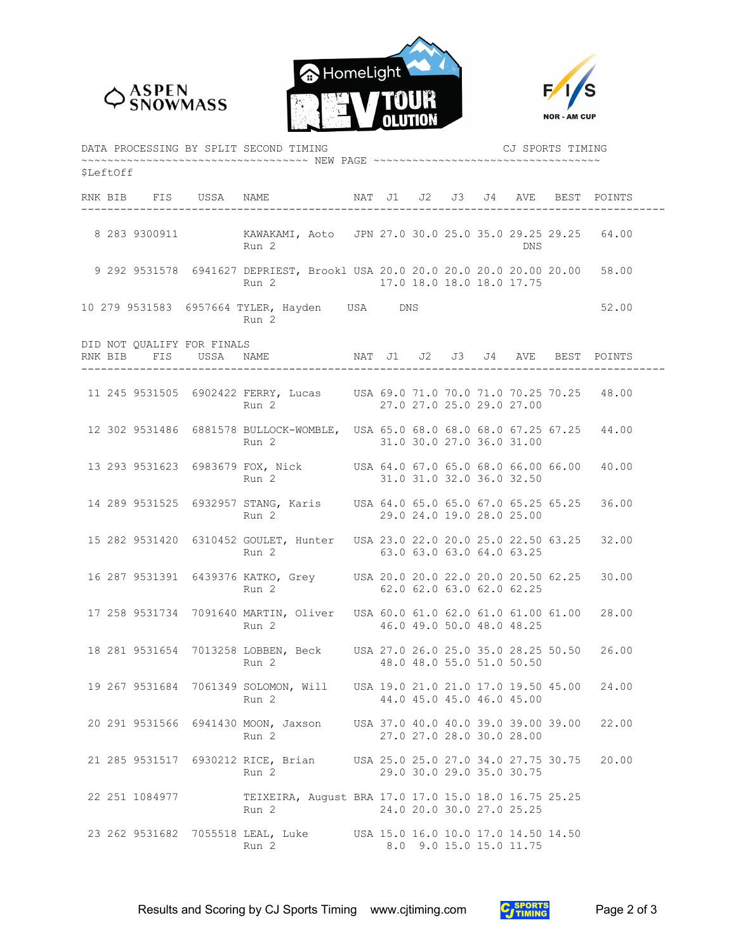





| DATA PROCESSING BY SPLIT SECOND TIMING<br>CJ SPORTS TIMING                    |  |                |                            |                                                                                                                     |  |  |  |  |  |                           |                                     |       |
|-------------------------------------------------------------------------------|--|----------------|----------------------------|---------------------------------------------------------------------------------------------------------------------|--|--|--|--|--|---------------------------|-------------------------------------|-------|
| ~~~~~~~~~~~~~~~~~~~~~~~~~~~~ NEW PAGE ~~~~~~~~~~~~~~~~~~~~~~~~~~~<br>SLeftOff |  |                |                            |                                                                                                                     |  |  |  |  |  |                           |                                     |       |
|                                                                               |  |                |                            | RNK BIB FIS USSA NAME NAT J1 J2 J3 J4 AVE BEST POINTS                                                               |  |  |  |  |  |                           |                                     |       |
|                                                                               |  |                |                            | Run 2                                                                                                               |  |  |  |  |  | DNS                       |                                     |       |
|                                                                               |  |                |                            | 9 292 9531578 6941627 DEPRIEST, Brookl USA 20.0 20.0 20.0 20.0 20.00 20.00 58.00<br>Run 2 17.0 18.0 18.0 18.0 17.75 |  |  |  |  |  |                           |                                     |       |
|                                                                               |  |                |                            | 10 279 9531583 6957664 TYLER, Hayden USA DNS<br>Run 2                                                               |  |  |  |  |  |                           |                                     | 52.00 |
|                                                                               |  |                | DID NOT QUALIFY FOR FINALS | RNK BIB FIS USSA NAME NAT J1 J2 J3 J4 AVE BEST POINTS                                                               |  |  |  |  |  |                           |                                     |       |
|                                                                               |  |                |                            | 11 245 9531505 6902422 FERRY, Lucas USA 69.0 71.0 70.0 71.0 70.25 70.25 48.00<br>Run 2                              |  |  |  |  |  | 27.0 27.0 25.0 29.0 27.00 |                                     |       |
|                                                                               |  |                |                            | 12 302 9531486 6881578 BULLOCK-WOMBLE, USA 65.0 68.0 68.0 68.0 67.25 67.25 44.00<br>Run 2 31.0 30.0 27.0 36.0 31.00 |  |  |  |  |  |                           |                                     |       |
|                                                                               |  |                |                            | 13 293 9531623 6983679 FOX, Nick USA 64.0 67.0 65.0 68.0 66.00 66.00 40.00<br>Run 2                                 |  |  |  |  |  | 31.0 31.0 32.0 36.0 32.50 |                                     |       |
|                                                                               |  |                |                            | 14 289 9531525 6932957 STANG, Karis USA 64.0 65.0 65.0 67.0 65.25 65.25 36.00<br>Run 2 29.0 24.0 19.0 28.0 25.00    |  |  |  |  |  |                           |                                     |       |
|                                                                               |  |                |                            | 15 282 9531420 6310452 GOULET, Hunter USA 23.0 22.0 20.0 25.0 22.50 63.25 32.00<br>Run 2                            |  |  |  |  |  | 63.0 63.0 63.0 64.0 63.25 |                                     |       |
|                                                                               |  |                |                            | 16 287 9531391 6439376 KATKO, Grey USA 20.0 20.0 22.0 20.0 20.50 62.25 30.00<br>Run 2 62.0 62.0 63.0 62.0 62.25     |  |  |  |  |  |                           |                                     |       |
|                                                                               |  |                |                            | 17 258 9531734 7091640 MARTIN, Oliver USA 60.0 61.0 62.0 61.0 61.00 61.00 28.00<br>Run 2                            |  |  |  |  |  | 46.0 49.0 50.0 48.0 48.25 |                                     |       |
|                                                                               |  |                |                            | 18 281 9531654 7013258 LOBBEN, Beck USA 27.0 26.0 25.0 35.0 28.25 50.50 26.00<br>Run 2                              |  |  |  |  |  | 48.0 48.0 55.0 51.0 50.50 |                                     |       |
|                                                                               |  |                |                            | 19 267 9531684 7061349 SOLOMON, Will<br>Run 2                                                                       |  |  |  |  |  | 44.0 45.0 45.0 46.0 45.00 | USA 19.0 21.0 21.0 17.0 19.50 45.00 | 24.00 |
|                                                                               |  |                |                            | 20 291 9531566 6941430 MOON, Jaxson USA 37.0 40.0 40.0 39.0 39.00 39.00<br>Run 2                                    |  |  |  |  |  | 27.0 27.0 28.0 30.0 28.00 |                                     | 22.00 |
|                                                                               |  |                |                            | 21 285 9531517 6930212 RICE, Brian USA 25.0 25.0 27.0 34.0 27.75 30.75<br>Run 2                                     |  |  |  |  |  | 29.0 30.0 29.0 35.0 30.75 |                                     | 20.00 |
|                                                                               |  | 22 251 1084977 |                            | TEIXEIRA, August BRA 17.0 17.0 15.0 18.0 16.75 25.25<br>Run 2                                                       |  |  |  |  |  | 24.0 20.0 30.0 27.0 25.25 |                                     |       |
|                                                                               |  |                |                            | 23 262 9531682 7055518 LEAL, Luke USA 15.0 16.0 10.0 17.0 14.50 14.50<br>Run 2                                      |  |  |  |  |  | 8.0 9.0 15.0 15.0 11.75   |                                     |       |